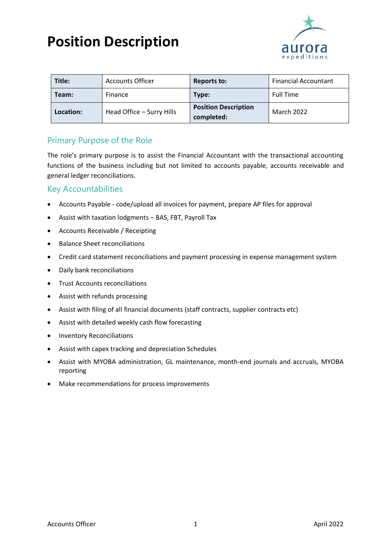## **Position Description**



| Title:    | <b>Accounts Officer</b>   | Reports to:                               | <b>Financial Accountant</b> |
|-----------|---------------------------|-------------------------------------------|-----------------------------|
| Team:     | Finance                   | Type:                                     | <b>Full Time</b>            |
| Location: | Head Office - Surry Hills | <b>Position Description</b><br>completed: | <b>March 2022</b>           |

## Primary Purpose of the Role

The role's primary purpose is to assist the Financial Accountant with the transactional accounting functions of the business including but not limited to accounts payable, accounts receivable and general ledger reconciliations.

### Key Accountabilities

- Accounts Payable code/upload all invoices for payment, prepare AP files for approval
- Assist with taxation lodgments BAS, FBT, Payroll Tax
- Accounts Receivable / Receipting
- Balance Sheet reconciliations
- Credit card statement reconciliations and payment processing in expense management system
- Daily bank reconciliations
- Trust Accounts reconciliations
- Assist with refunds processing
- Assist with filing of all financial documents (staff contracts, supplier contracts etc)
- Assist with detailed weekly cash flow forecasting
- Inventory Reconciliations
- Assist with capex tracking and depreciation Schedules
- Assist with MYOBA administration, GL maintenance, month-end journals and accruals, MYOBA reporting
- Make recommendations for process improvements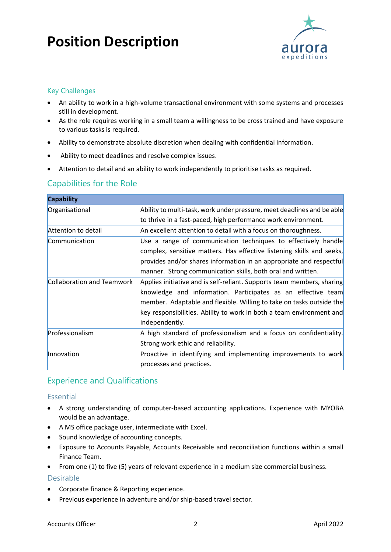# **Position Description**



#### Key Challenges

- An ability to work in a high-volume transactional environment with some systems and processes still in development.
- As the role requires working in a small team a willingness to be cross trained and have exposure to various tasks is required.
- Ability to demonstrate absolute discretion when dealing with confidential information.
- Ability to meet deadlines and resolve complex issues.
- Attention to detail and an ability to work independently to prioritise tasks as required.

### Capabilities for the Role

| <b>Capability</b>          |                                                                                                                                                                                                                                                                                                          |
|----------------------------|----------------------------------------------------------------------------------------------------------------------------------------------------------------------------------------------------------------------------------------------------------------------------------------------------------|
| Organisational             | Ability to multi-task, work under pressure, meet deadlines and be able                                                                                                                                                                                                                                   |
|                            | to thrive in a fast-paced, high performance work environment.                                                                                                                                                                                                                                            |
| Attention to detail        | An excellent attention to detail with a focus on thoroughness.                                                                                                                                                                                                                                           |
| Communication              | Use a range of communication techniques to effectively handle<br>complex, sensitive matters. Has effective listening skills and seeks,                                                                                                                                                                   |
|                            | provides and/or shares information in an appropriate and respectful<br>manner. Strong communication skills, both oral and written.                                                                                                                                                                       |
| Collaboration and Teamwork | Applies initiative and is self-reliant. Supports team members, sharing<br>knowledge and information. Participates as an effective team<br>member. Adaptable and flexible. Willing to take on tasks outside the<br>key responsibilities. Ability to work in both a team environment and<br>independently. |
| Professionalism            | A high standard of professionalism and a focus on confidentiality.<br>Strong work ethic and reliability.                                                                                                                                                                                                 |
| Innovation                 | Proactive in identifying and implementing improvements to work<br>processes and practices.                                                                                                                                                                                                               |

## Experience and Qualifications

#### Essential

- A strong understanding of computer-based accounting applications. Experience with MYOBA would be an advantage.
- A MS office package user, intermediate with Excel.
- Sound knowledge of accounting concepts.
- Exposure to Accounts Payable, Accounts Receivable and reconciliation functions within a small Finance Team.
- From one (1) to five (5) years of relevant experience in a medium size commercial business.

#### Desirable

- Corporate finance & Reporting experience.
- Previous experience in adventure and/or ship-based travel sector.